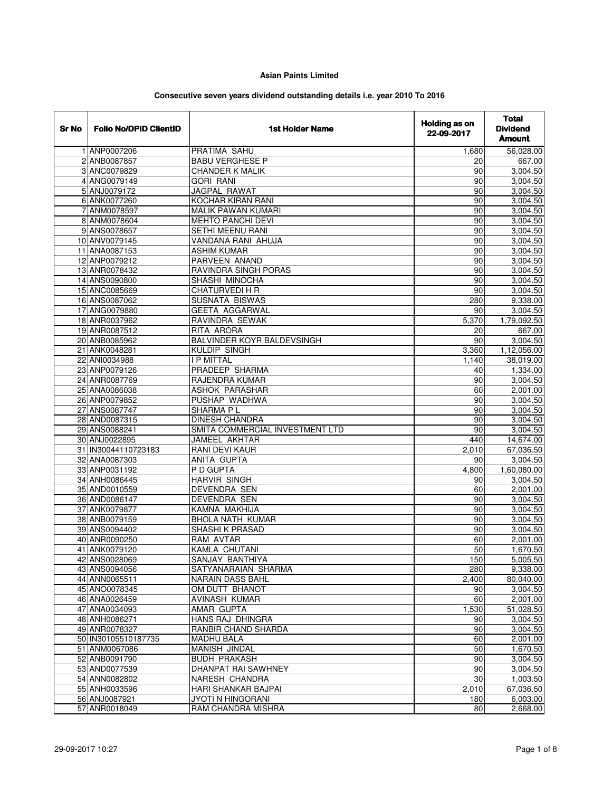## **Asian Paints Limited**

## **Consecutive seven years dividend outstanding details i.e. year 2010 To 2016**

| Sr No | <b>Folio No/DPID ClientID</b> | <b>1st Holder Name</b>          | <b>Holding as on</b><br>22-09-2017 | <b>Total</b><br><b>Dividend</b><br><b>Amount</b> |
|-------|-------------------------------|---------------------------------|------------------------------------|--------------------------------------------------|
|       | 1 ANP0007206                  | PRATIMA SAHU                    | 1,680                              | 56,028.00                                        |
|       | 2 ANB0087857                  | <b>BABU VERGHESE P</b>          | 20                                 | 667.00                                           |
|       | 3 ANC0079829                  | <b>CHANDER K MALIK</b>          | 90                                 | 3,004.50                                         |
|       | 4 ANG0079149                  | <b>GORI RANI</b>                | 90                                 | 3,004.50                                         |
|       | 5 ANJ0079172                  | <b>JAGPAL RAWAT</b>             | 90                                 | 3,004.50                                         |
|       | 6 ANK0077260                  | <b>KOCHAR KIRAN RANI</b>        | 90                                 | 3,004.50                                         |
|       | 7 ANM0078597                  | MALIK PAWAN KUMARI              | 90                                 | 3,004.50                                         |
|       | 8 ANM0078604                  | <b>MEHTO PANCHI DEVI</b>        | 90                                 | 3,004.50                                         |
|       | 9 ANS0078657                  | <b>SETHI MEENU RANI</b>         | 90                                 | 3,004.50                                         |
|       | 10 ANV0079145                 | VANDANA RANI AHUJA              | 90                                 | 3,004.50                                         |
|       | 11 ANA0087153                 | <b>ASHIM KUMAR</b>              | 90                                 | 3,004.50                                         |
|       | 12 ANP0079212                 | <b>PARVEEN ANAND</b>            | 90                                 | 3,004.50                                         |
|       | 13 ANR0078432                 | RAVINDRA SINGH PORAS            | 90                                 | 3,004.50                                         |
|       | 14 ANS0090800                 | SHASHI MINOCHA                  | 90                                 | 3,004.50                                         |
|       | 15 ANC0085669                 | <b>CHATURVEDI H R</b>           | 90                                 | 3,004.50                                         |
|       | 16 ANS0087062                 | <b>SUSNATA BISWAS</b>           | 280                                | 9,338.00                                         |
|       | 17 ANG0079880                 | <b>GEETA AGGARWAL</b>           | 90                                 | 3,004.50                                         |
|       | 18 ANR0037962                 | RAVINDRA SEWAK                  | 5,370                              | 1,79,092.50                                      |
|       | 19 ANR0087512                 | RITA ARORA                      | 20                                 | 667.00                                           |
|       | 20 ANB0085962                 | BALVINDER KOYR BALDEVSINGH      | 90                                 | 3,004.50                                         |
|       | 21 ANK0048281                 | <b>KULDIP SINGH</b>             | 3,360                              | 1,12,056.00                                      |
|       | 22 ANI0034988                 | <b>I P MITTAL</b>               | 1,140                              | 38,019.00                                        |
|       | 23 ANP0079126                 | PRADEEP SHARMA                  | 40                                 | 1,334.00                                         |
|       | 24 ANR0087769                 | RAJENDRA KUMAR                  | 90                                 | 3,004.50                                         |
|       | 25 ANA0086038                 | <b>ASHOK PARASHAR</b>           | 60                                 | 2,001.00                                         |
|       | 26 ANP0079852                 | PUSHAP WADHWA                   | 90                                 | 3,004.50                                         |
|       | 27 ANS0087747                 | SHARMA PL                       | 90                                 | 3,004.50                                         |
|       | 28 AND0087315                 | <b>DINESH CHANDRA</b>           | 90                                 | 3,004.50                                         |
|       | 29 ANS0088241                 | SMITA COMMERCIAL INVESTMENT LTD | 90                                 | 3,004.50                                         |
|       | 30 ANJ0022895                 | JAMEEL AKHTAR                   | 440                                | 14,674.00                                        |
|       | 31 IN30044110723183           | <b>RANI DEVI KAUR</b>           | 2,010                              | 67,036.50                                        |
|       | 32 ANA0087303                 | <b>ANITA GUPTA</b>              | 90                                 | 3,004.50                                         |
|       | 33 ANP0031192                 | P D GUPTA                       | 4,800                              | 1,60,080.00                                      |
|       | 34 ANH0086445                 | <b>HARVIR SINGH</b>             | 90                                 | 3,004.50                                         |
|       | 35 AND0010559                 | DEVENDRA SEN                    | 60                                 | 2,001.00                                         |
|       | 36 AND0086147                 | DEVENDRA SEN                    | 90                                 | 3,004.50                                         |
|       | 37 ANK0079877                 | KAMNA MAKHIJA                   | 90                                 | 3,004.50                                         |
|       | 38 ANB0079159                 | <b>BHOLA NATH KUMAR</b>         | 90                                 | 3,004.50                                         |
|       | 39 ANS0094402                 | <b>SHASHI K PRASAD</b>          | 90                                 | 3,004.50                                         |
|       | 40 ANR0090250                 | <b>RAM AVTAR</b>                | 60                                 | 2,001.00                                         |
|       | 41 ANK0079120                 | KAMLA CHUTANI                   | 50                                 | 1,670.50                                         |
|       | 42 ANS0028069                 | SANJAY BANTHIYA                 | 150                                | 5,005.50                                         |
|       | 43 ANS0094056                 | SATYANARAIAN SHARMA             | 280                                | 9,338.00                                         |
|       | 44 ANN0065511                 | NARAIN DASS BAHL                | 2,400                              | 80.040.00                                        |
|       | 45 ANO0078345                 | OM DUTT BHANOT                  | 90                                 | 3,004.50                                         |
|       | 46 ANA0026459                 | AVINASH KUMAR                   | 60                                 | 2,001.00                                         |
|       | 47 ANA0034093                 | AMAR GUPTA                      | 1,530                              | 51,028.50                                        |
|       | 48 ANH0086271                 | HANS RAJ DHINGRA                | 90                                 | 3,004.50                                         |
|       | 49 ANR0078327                 | RANBIR CHAND SHARDA             | 90                                 | 3,004.50                                         |
|       | 50 IN30105510187735           | <b>MADHU BALA</b>               | 60                                 | 2,001.00                                         |
|       | 51 ANM0067086                 | MANISH JINDAL                   | 50                                 | 1,670.50                                         |
|       | 52 ANB0091790                 | <b>BUDH PRAKASH</b>             | 90                                 | 3,004.50                                         |
|       | 53 AND0077539                 | DHANPAT RAI SAWHNEY             | 90                                 | 3,004.50                                         |
|       | 54 ANN0082802                 | NARESH CHANDRA                  | 30                                 | 1,003.50                                         |
|       | 55 ANH0033596                 | HARI SHANKAR BAJPAI             | 2,010                              | 67,036.50                                        |
|       | 56 ANJ0087921                 | JYOTI N HINGORANI               | 180                                | 6,003.00                                         |
|       | 57 ANR0018049                 | RAM CHANDRA MISHRA              | 80                                 | 2,668.00                                         |
|       |                               |                                 |                                    |                                                  |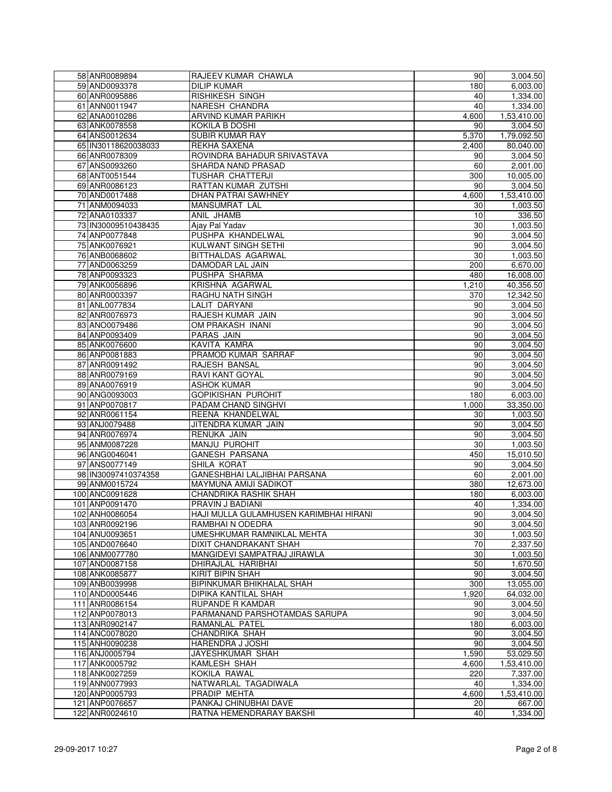| 58 ANR0089894                    | RAJEEV KUMAR CHAWLA                               | 90    | 3,004.50    |
|----------------------------------|---------------------------------------------------|-------|-------------|
| 59 AND0093378                    | <b>DILIP KUMAR</b>                                | 180   | 6.003.00    |
| 60 ANR0095886                    | <b>RISHIKESH SINGH</b>                            | 40    | 1,334.00    |
| 61 ANN0011947                    | NARESH CHANDRA                                    | 40    | 1,334.00    |
| 62 ANA0010286                    | ARVIND KUMAR PARIKH                               | 4,600 | 1,53,410.00 |
| 63 ANK0078558                    | <b>KOKILA B DOSHI</b>                             | 90    | 3,004.50    |
| 64 ANS0012634                    | SUBIR KUMAR RAY                                   | 5.370 | 1.79.092.50 |
| 65 IN30118620038033              | <b>REKHA SAXENA</b>                               | 2,400 | 80,040.00   |
|                                  |                                                   |       |             |
| 66 ANR0078309                    | ROVINDRA BAHADUR SRIVASTAVA                       | 90    | 3,004.50    |
| 67 ANS0093260                    | SHARDA NAND PRASAD                                | 60    | 2,001.00    |
| 68 ANT0051544                    | TUSHAR CHATTERJI                                  | 300   | 10,005.00   |
| 69 ANR0086123                    | RATTAN KUMAR ZUTSHI                               | 90    | 3.004.50    |
| 70 AND0017488                    | <b>DHAN PATRAI SAWHNEY</b>                        | 4,600 | 1,53,410.00 |
| 71 ANM0094033                    | <b>MANSUMRAT LAL</b>                              | 30    | 1,003.50    |
| 72 ANA0103337                    | ANIL JHAMB                                        | 10    | 336.50      |
| 73 IN30009510438435              | Ajay Pal Yadav                                    | 30    | 1,003.50    |
| 74 ANP0077848                    | PUSHPA KHANDELWAL                                 | 90    | 3,004.50    |
| 75 ANK0076921                    | KULWANT SINGH SETHI                               | 90    | 3,004.50    |
| 76 ANB0068602                    | BITTHALDAS AGARWAL                                | 30    | 1,003.50    |
| 77 AND0063259                    | DAMODAR LAL JAIN                                  | 200   | 6,670.00    |
| 78 ANP0093323                    | PUSHPA SHARMA                                     | 480   |             |
|                                  |                                                   |       | 16,008.00   |
| 79 ANK0056896                    | KRISHNA AGARWAL                                   | 1,210 | 40,356.50   |
| 80 ANR0003397                    | <b>RAGHU NATH SINGH</b>                           | 370   | 12,342.50   |
| 81 ANL0077834                    | <b>LALIT DARYANI</b>                              | 90    | 3,004.50    |
| 82 ANR0076973                    | RAJESH KUMAR JAIN                                 | 90    | 3,004.50    |
| 83 ANO0079486                    | OM PRAKASH INANI                                  | 90    | 3,004.50    |
| 84 ANP0093409                    | <b>PARAS JAIN</b>                                 | 90    | 3,004.50    |
| 85 ANK0076600                    | KAVITA KAMRA                                      | 90    | 3,004.50    |
| 86 ANP0081883                    | PRAMOD KUMAR SARRAF                               | 90    | 3,004.50    |
| 87 ANR0091492                    | RAJESH BANSAL                                     | 90    | 3,004.50    |
| 88 ANR0079169                    | <b>RAVI KANT GOYAL</b>                            | 90    | 3,004.50    |
| 89 ANA0076919                    | <b>ASHOK KUMAR</b>                                | 90    | 3,004.50    |
| 90 ANG0093003                    | <b>GOPIKISHAN PUROHIT</b>                         | 180   | 6,003.00    |
| 91 ANP0070817                    | PADAM CHAND SINGHVI                               | 1,000 | 33,350.00   |
| 92 ANR0061154                    | REENA KHANDELWAL                                  | 30    | 1,003.50    |
|                                  |                                                   |       |             |
| 93 ANJ0079488                    | JITENDRA KUMAR JAIN                               | 90    | 3,004.50    |
| 94 ANR0076974                    | <b>RENUKA JAIN</b>                                | 90    | 3,004.50    |
| 95 ANM0087228                    | MANJU PUROHIT                                     | 30    | 1,003.50    |
| 96 ANG0046041                    | <b>GANESH PARSANA</b>                             | 450   | 15,010.50   |
| 97 ANS0077149                    | SHILA KORAT                                       | 90    | 3,004.50    |
| 98 IN30097410374358              | GANESHBHAI LALJIBHAI PARSANA                      | 60    | 2,001.00    |
| 99 ANM0015724                    | MAYMUNA AMIJI SADIKOT                             | 380   | 12,673.00   |
| 100 ANC0091628                   | CHANDRIKA RASHIK SHAH                             | 180   | 6,003.00    |
| 101 ANP0091470                   | PRAVIN J BADIANI                                  | 40    | 1,334.00    |
| 102 ANH0086054                   | HAJI MULLA GULAMHUSEN KARIMBHAI HIRANI            | 90    | 3,004.50    |
| 103 ANR0092196                   | RAMBHAI N ODEDRA                                  | 90    | 3,004.50    |
| 104 ANU0093651                   | UMESHKUMAR RAMNIKLAL MEHTA                        | 30    | 1,003.50    |
| 105 AND0076640                   | DIXIT CHANDRAKANT SHAH                            | 70    | 2,337.50    |
| 106 ANM0077780                   | MANGIDEVI SAMPATRAJ JIRAWLA                       | 30    | 1,003.50    |
| 107 AND0087158                   | DHIRAJLAL HARIBHAI                                | 50    | 1,670.50    |
| 108 ANK0085877                   | KIRIT BIPIN SHAH                                  | 90    | 3,004.50    |
| 109 ANB0039998                   | BIPINKUMAR BHIKHALAL SHAH                         | 300   | 13,055.00   |
|                                  | DIPIKA KANTILAL SHAH                              |       | 64,032.00   |
| 110 AND0005446<br>111 ANR0086154 |                                                   | 1,920 |             |
|                                  | RUPANDE R KAMDAR<br>PARMANAND PARSHOTAMDAS SARUPA | 90    | 3,004.50    |
| 112 ANP0078013                   |                                                   | 90    | 3,004.50    |
| 113 ANR0902147                   | RAMANLAL PATEL                                    | 180   | 6,003.00    |
| 114 ANC0078020                   | CHANDRIKA SHAH                                    | 90    | 3,004.50    |
| 115 ANH0090238                   | HARENDRA J JOSHI                                  | 90    | 3,004.50    |
| 116 ANJ0005794                   | JAYESHKUMAR SHAH                                  | 1,590 | 53,029.50   |
| 117 ANK0005792                   | KAMLESH SHAH                                      | 4,600 | 1,53,410.00 |
| 118 ANK0027259                   | KOKILA RAWAL                                      | 220   | 7,337.00    |
| 119 ANN0077993                   | NATWARLAL TAGADIWALA                              | 40    | 1,334.00    |
| 120 ANP0005793                   | PRADIP MEHTA                                      | 4,600 | 1,53,410.00 |
| 121 ANP0076657                   | PANKAJ CHINUBHAI DAVE                             | 20    | 667.00      |
| 122 ANR0024610                   | RATNA HEMENDRARAY BAKSHI                          | 40    | 1,334.00    |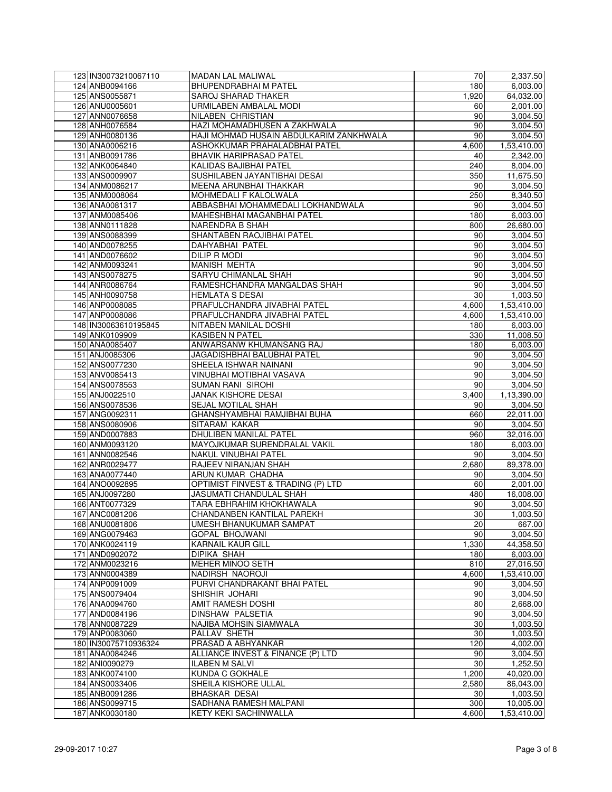| 123 IN30073210067110 | MADAN LAL MALIWAL                       | 70    | 2,337.50    |
|----------------------|-----------------------------------------|-------|-------------|
| 124 ANB0094166       | <b>BHUPENDRABHAI M PATEL</b>            | 180   | 6,003.00    |
| 125 ANS0055871       | SAROJ SHARAD THAKER                     | 1,920 | 64,032.00   |
| 126 ANU0005601       | URMILABEN AMBALAL MODI                  | 60    | 2,001.00    |
| 127 ANN0076658       | NILABEN CHRISTIAN                       | 90    | 3,004.50    |
| 128 ANH0076584       | HAZI MOHAMADHUSEN A ZAKHWALA            | 90    | 3,004.50    |
| 129 ANH0080136       | HAJI MOHMAD HUSAIN ABDULKARIM ZANKHWALA | 90    | 3,004.50    |
| 130 ANA0006216       | ASHOKKUMAR PRAHALADBHAI PATEL           | 4,600 | 1,53,410.00 |
| 131 ANB0091786       | BHAVIK HARIPRASAD PATEL                 | 40    | 2,342.00    |
| 132 ANK0064840       | KALIDAS BAJIBHAI PATEL                  | 240   | 8,004.00    |
| 133 ANS0009907       | SUSHILABEN JAYANTIBHAI DESAI            | 350   | 11,675.50   |
| 134 ANM0086217       | MEENA ARUNBHAI THAKKAR                  | 90    | 3,004.50    |
| 135 ANM0008064       | MOHMEDALI F KALOLWALA                   | 250   | 8,340.50    |
| 136 ANA0081317       | ABBASBHAI MOHAMMEDALI LOKHANDWALA       | 90    |             |
|                      |                                         |       | 3,004.50    |
| 137 ANM0085406       | MAHESHBHAI MAGANBHAI PATEL              | 180   | 6,003.00    |
| 138 ANN0111828       | NARENDRA B SHAH                         | 800   | 26,680.00   |
| 139 ANS0088399       | SHANTABEN RAOJIBHAI PATEL               | 90    | 3,004.50    |
| 140 AND0078255       | DAHYABHAI PATEL                         | 90    | 3,004.50    |
| 141 AND0076602       | <b>DILIP R MODI</b>                     | 90    | 3,004.50    |
| 142 ANM0093241       | <b>MANISH MEHTA</b>                     | 90    | 3,004.50    |
| 143 ANS0078275       | SARYU CHIMANLAL SHAH                    | 90    | 3,004.50    |
| 144 ANR0086764       | RAMESHCHANDRA MANGALDAS SHAH            | 90    | 3,004.50    |
| 145 ANH0090758       | <b>HEMLATA S DESAI</b>                  | 30    | 1,003.50    |
| 146 ANP0008085       | PRAFULCHANDRA JIVABHAI PATEL            | 4,600 | 1,53,410.00 |
| 147 ANP0008086       | PRAFULCHANDRA JIVABHAI PATEL            | 4,600 | 1,53,410.00 |
| 148 IN30063610195845 | NITABEN MANILAL DOSHI                   | 180   | 6,003.00    |
| 149 ANK0109909       | KASIBEN N PATEL                         | 330   | 11,008.50   |
| 150 ANA0085407       | ANWARSANW KHUMANSANG RAJ                | 180   | 6,003.00    |
| 151 ANJ0085306       | JAGADISHBHAI BALUBHAI PATEL             | 90    | 3,004.50    |
| 152 ANS0077230       | SHEELA ISHWAR NAINANI                   | 90    | 3,004.50    |
| 153 ANV0085413       | VINUBHAI MOTIBHAI VASAVA                | 90    | 3,004.50    |
| 154 ANS0078553       | SUMAN RANI SIROHI                       | 90    | 3,004.50    |
| 155 ANJ0022510       | JANAK KISHORE DESAI                     | 3,400 | 1,13,390.00 |
| 156 ANS0078536       | SEJAL MOTILAL SHAH                      | 90    | 3,004.50    |
| 157 ANG0092311       | GHANSHYAMBHAI RAMJIBHAI BUHA            | 660   | 22,011.00   |
| 158 ANS0080906       | SITARAM KAKAR                           | 90    | 3,004.50    |
| 159 AND0007883       | DHULIBEN MANILAL PATEL                  | 960   | 32,016.00   |
| 160 ANM0093120       | MAYOJKUMAR SURENDRALAL VAKIL            | 180   | 6,003.00    |
| 161 ANN0082546       | NAKUL VINUBHAI PATEL                    | 90    | 3,004.50    |
| 162 ANR0029477       | RAJEEV NIRANJAN SHAH                    | 2.680 | 89,378.00   |
|                      |                                         |       |             |
| 163 ANA0077440       | ARUN KUMAR CHADHA                       | 90    | 3,004.50    |
| 164 ANO0092895       | OPTIMIST FINVEST & TRADING (P) LTD      | 60    | 2,001.00    |
| 165 ANJ0097280       | JASUMATI CHANDULAL SHAH                 | 480   | 16,008.00   |
| 166 ANT0077329       | TARA EBHRAHIM KHOKHAWALA                | 90    | 3,004.50    |
| 167 ANC0081206       | <b>CHANDANBEN KANTILAL PAREKH</b>       | 30    | 1,003.50    |
| 168 ANU0081806       | UMESH BHANUKUMAR SAMPAT                 | 20    | 667.00      |
| 169 ANG0079463       | <b>GOPAL BHOJWANI</b>                   | 90    | 3,004.50    |
| 170 ANK0024119       | <b>KARNAIL KAUR GILL</b>                | 1,330 | 44,358.50   |
| 171 AND0902072       | <b>DIPIKA SHAH</b>                      | 180   | 6,003.00    |
| 172 ANM0023216       | MEHER MINOO SETH                        | 810   | 27,016.50   |
| 173 ANN0004389       | NADIRSH NAOROJI                         | 4,600 | 1,53,410.00 |
| 174 ANP0091009       | PURVI CHANDRAKANT BHAI PATEL            | 90    | 3,004.50    |
| 175 ANS0079404       | SHISHIR JOHARI                          | 90    | 3,004.50    |
| 176 ANA0094760       | AMIT RAMESH DOSHI                       | 80    | 2,668.00    |
| 177 AND0084196       | DINSHAW PALSETIA                        | 90    | 3,004.50    |
| 178 ANN0087229       | NAJIBA MOHSIN SIAMWALA                  | 30    | 1,003.50    |
| 179 ANP0083060       | PALLAV SHETH                            | 30    | 1,003.50    |
| 180 IN30075710936324 | PRASAD A ABHYANKAR                      | 120   | 4,002.00    |
| 181 ANA0084246       | ALLIANCE INVEST & FINANCE (P) LTD       | 90    | 3,004.50    |
| 182 ANI0090279       | <b>ILABEN M SALVI</b>                   | 30    | 1,252.50    |
| 183 ANK0074100       | KUNDA C GOKHALE                         | 1,200 | 40,020.00   |
| 184 ANS0033406       | SHEILA KISHORE ULLAL                    | 2,580 | 86,043.00   |
| 185 ANB0091286       | <b>BHASKAR DESAI</b>                    | 30    | 1,003.50    |
| 186 ANS0099715       | SADHANA RAMESH MALPANI                  | 300   | 10,005.00   |
| 187 ANK0030180       | KETY KEKI SACHINWALLA                   | 4,600 | 1,53,410.00 |
|                      |                                         |       |             |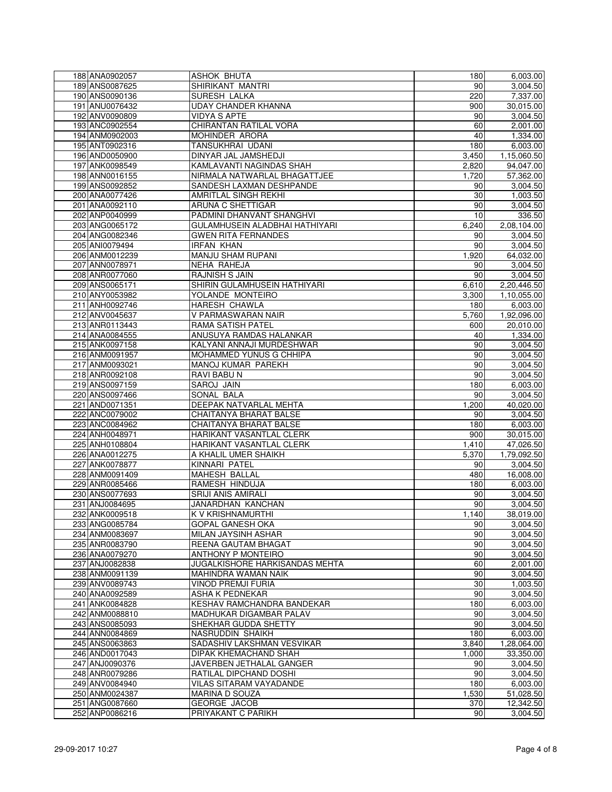| 188 ANA0902057 | ASHOK BHUTA                    | 180   | 6,003.00    |
|----------------|--------------------------------|-------|-------------|
| 189 ANS0087625 | SHIRIKANT MANTRI               | 90    | 3,004.50    |
| 190 ANS0090136 | SURESH LALKA                   | 220   | 7,337.00    |
| 191 ANU0076432 | <b>UDAY CHANDER KHANNA</b>     | 900   | 30,015.00   |
| 192 ANV0090809 | <b>VIDYA S APTE</b>            | 90    | 3,004.50    |
| 193 ANC0902554 | <b>CHIRANTAN RATILAL VORA</b>  | 60    | 2,001.00    |
| 194 ANM0902003 | MOHINDER ARORA                 | 40    | 1,334.00    |
| 195 ANT0902316 | <b>TANSUKHRAI UDANI</b>        | 180   | 6,003.00    |
| 196 AND0050900 | DINYAR JAL JAMSHEDJI           | 3,450 | 1,15,060.50 |
| 197 ANK0098549 | KAMLAVANTI NAGINDAS SHAH       | 2,820 | 94,047.00   |
| 198 ANN0016155 | NIRMALA NATWARLAL BHAGATTJEE   | 1,720 | 57,362.00   |
| 199 ANS0092852 | SANDESH LAXMAN DESHPANDE       | 90    | 3,004.50    |
|                | AMRITLAL SINGH REKHI           | 30    |             |
| 200 ANA0077426 |                                |       | 1,003.50    |
| 201 ANA0092110 | <b>ARUNA C SHETTIGAR</b>       | 90    | 3,004.50    |
| 202 ANP0040999 | PADMINI DHANVANT SHANGHVI      | 10    | 336.50      |
| 203 ANG0065172 | GULAMHUSEIN ALADBHAI HATHIYARI | 6,240 | 2,08,104.00 |
| 204 ANG0082346 | <b>GWEN RITA FERNANDES</b>     | 90    | 3,004.50    |
| 205 ANI0079494 | <b>IRFAN KHAN</b>              | 90    | 3,004.50    |
| 206 ANM0012239 | MANJU SHAM RUPANI              | 1,920 | 64,032.00   |
| 207 ANN0078971 | NEHA RAHEJA                    | 90    | 3,004.50    |
| 208 ANR0077060 | <b>RAJNISH S JAIN</b>          | 90    | 3,004.50    |
| 209 ANS0065171 | SHIRIN GULAMHUSEIN HATHIYARI   | 6,610 | 2,20,446.50 |
| 210 ANY0053982 | YOLANDE MONTEIRO               | 3,300 | 1,10,055.00 |
| 211 ANH0092746 | <b>HARESH CHAWLA</b>           | 180   | 6,003.00    |
| 212 ANV0045637 | V PARMASWARAN NAIR             | 5,760 | 1,92,096.00 |
| 213 ANR0113443 | <b>RAMA SATISH PATEL</b>       | 600   | 20,010.00   |
| 214 ANA0084555 | ANUSUYA RAMDAS HALANKAR        | 40    | 1,334.00    |
| 215 ANK0097158 | KALYANI ANNAJI MURDESHWAR      | 90    | 3,004.50    |
| 216 ANM0091957 | MOHAMMED YUNUS G CHHIPA        | 90    | 3,004.50    |
| 217 ANM0093021 | MANOJ KUMAR PAREKH             | 90    | 3,004.50    |
| 218 ANR0092108 | <b>RAVI BABU N</b>             | 90    | 3,004.50    |
| 219 ANS0097159 | SAROJ JAIN                     | 180   | 6,003.00    |
| 220 ANS0097466 | SONAL BALA                     | 90    | 3,004.50    |
| 221 AND0071351 | DEEPAK NATVARLAL MEHTA         | 1,200 |             |
|                |                                |       | 40,020.00   |
| 222 ANC0079002 | CHAITANYA BHARAT BALSE         | 90    | 3,004.50    |
| 223 ANC0084962 | CHAITANYA BHARAT BALSE         | 180   | 6,003.00    |
| 224 ANH0048971 | HARIKANT VASANTLAL CLERK       | 900   | 30,015.00   |
| 225 ANH0108804 | HARIKANT VASANTLAL CLERK       | 1,410 | 47,026.50   |
| 226 ANA0012275 | A KHALIL UMER SHAIKH           | 5,370 | 1,79,092.50 |
| 227 ANK0078877 | KINNARI PATEL                  | 90    | 3,004.50    |
| 228 ANM0091409 | <b>MAHESH BALLAL</b>           | 480   | 16,008.00   |
| 229 ANR0085466 | RAMESH HINDUJA                 | 180   | 6,003.00    |
| 230 ANS0077693 | <b>SRIJI ANIS AMIRALI</b>      | 90    | 3,004.50    |
| 231 ANJ0084695 | JANARDHAN KANCHAN              | 90    | 3,004.50    |
| 232 ANK0009518 | K V KRISHNAMURTHI              | 1,140 | 38.019.00   |
| 233 ANG0085784 | <b>GOPAL GANESH OKA</b>        | 90    | 3,004.50    |
| 234 ANM0083697 | MILAN JAYSINH ASHAR            | 90    | 3,004.50    |
| 235 ANR0083790 | REENA GAUTAM BHAGAT            | 90    | 3,004.50    |
| 236 ANA0079270 | ANTHONY P MONTEIRO             | 90    | 3,004.50    |
| 237 ANJ0082838 | JUGALKISHORE HARKISANDAS MEHTA | 60    | 2,001.00    |
| 238 ANM0091139 | <b>MAHINDRA WAMAN NAIK</b>     | 90    | 3,004.50    |
| 239 ANV0089743 | <b>VINOD PREMJI FURIA</b>      | 30    | 1,003.50    |
| 240 ANA0092589 | ASHA K PEDNEKAR                | 90    | 3,004.50    |
| 241 ANK0084828 | KESHAV RAMCHANDRA BANDEKAR     | 180   | 6,003.00    |
| 242 ANM0088810 | MADHUKAR DIGAMBAR PALAV        | 90    | 3,004.50    |
| 243 ANS0085093 | SHEKHAR GUDDA SHETTY           | 90    | 3,004.50    |
| 244 ANN0084869 | NASRUDDIN SHAIKH               | 180   | 6,003.00    |
| 245 ANS0063863 | SADASHIV LAKSHMAN VESVIKAR     | 3,840 | 1,28,064.00 |
|                |                                |       |             |
| 246 AND0017043 | DIPAK KHEMACHAND SHAH          | 1,000 | 33,350.00   |
| 247 ANJ0090376 | JAVERBEN JETHALAL GANGER       | 90    | 3,004.50    |
| 248 ANR0079286 | RATILAL DIPCHAND DOSHI         | 90    | 3,004.50    |
| 249 ANV0084940 | <b>VILAS SITARAM VAYADANDE</b> | 180   | 6,003.00    |
| 250 ANM0024387 | MARINA D SOUZA                 | 1,530 | 51,028.50   |
| 251 ANG0087660 | <b>GEORGE JACOB</b>            | 370   | 12,342.50   |
| 252 ANP0086216 | PRIYAKANT C PARIKH             | 90    | 3,004.50    |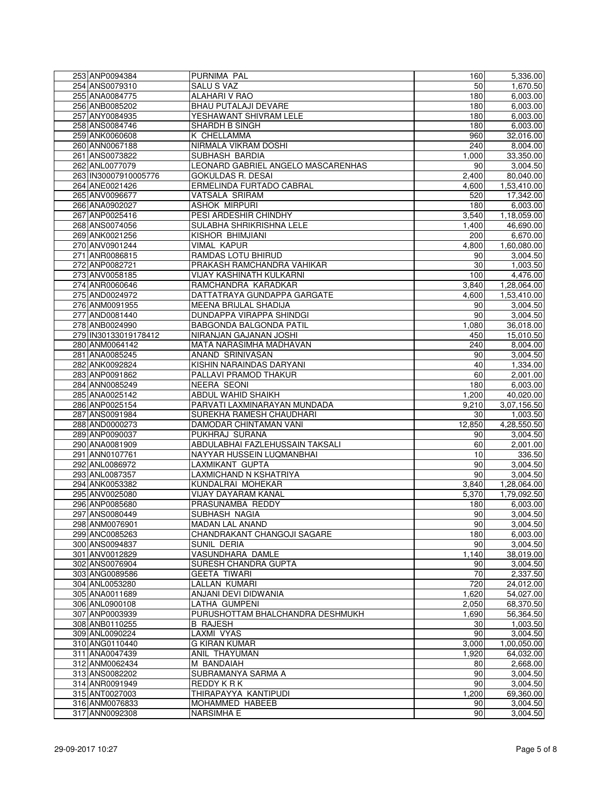| 253 ANP0094384       | PURNIMA PAL                        | 160    | 5,336.00    |
|----------------------|------------------------------------|--------|-------------|
| 254 ANS0079310       | SALU S VAZ                         | 50     | 1,670.50    |
| 255 ANA0084775       | <b>ALAHARI V RAO</b>               | 180    | 6,003.00    |
| 256 ANB0085202       | BHAU PUTALAJI DEVARE               | 180    | 6,003.00    |
| 257 ANY0084935       | YESHAWANT SHIVRAM LELE             | 180    | 6,003.00    |
| 258 ANS0084746       | SHARDH B SINGH                     | 180    | 6,003.00    |
| 259 ANK0060608       | K CHELLAMMA                        | 960    | 32,016.00   |
| 260 ANN0067188       | NIRMALA VIKRAM DOSHI               | 240    | 8,004.00    |
| 261 ANS0073822       | SUBHASH BARDIA                     | 1,000  | 33,350.00   |
| 262 ANL0077079       | LEONARD GABRIEL ANGELO MASCARENHAS | 90     | 3,004.50    |
| 263 IN30007910005776 | <b>GOKULDAS R. DESAI</b>           | 2,400  | 80,040.00   |
| 264 ANE0021426       | ERMELINDA FURTADO CABRAL           | 4,600  | 1,53,410.00 |
| 265 ANV0096677       | VATSALA SRIRAM                     | 520    | 17,342.00   |
| 266 ANA0902027       | <b>ASHOK MIRPURI</b>               | 180    | 6,003.00    |
| 267 ANP0025416       | PESI ARDESHIR CHINDHY              | 3,540  | 1,18,059.00 |
| 268 ANS0074056       | SULABHA SHRIKRISHNA LELE           | 1,400  | 46,690.00   |
| 269 ANK0021256       | KISHOR BHIMJIANI                   | 200    | 6,670.00    |
| 270 ANV0901244       | <b>VIMAL KAPUR</b>                 | 4,800  | 1,60,080.00 |
| 271 ANR0086815       | RAMDAS LOTU BHIRUD                 | 90     | 3,004.50    |
| 272 ANP0082721       | PRAKASH RAMCHANDRA VAHIKAR         | 30     | 1,003.50    |
| 273 ANV0058185       | VIJAY KASHINATH KULKARNI           | 100    | 4,476.00    |
| 274 ANR0060646       | RAMCHANDRA KARADKAR                | 3,840  | 1,28,064.00 |
| 275 AND0024972       | DATTATRAYA GUNDAPPA GARGATE        | 4,600  | 1,53,410.00 |
| 276 ANM0091955       | MEENA BRIJLAL SHADIJA              | 90     | 3,004.50    |
| 277 AND0081440       | DUNDAPPA VIRAPPA SHINDGI           | 90     | 3,004.50    |
| 278 ANB0024990       | <b>BABGONDA BALGONDA PATIL</b>     | 1.080  | 36,018.00   |
| 279 IN30133019178412 | NIRANJAN GAJANAN JOSHI             | 450    | 15,010.50   |
| 280 ANM0064142       | MATA NARASIMHA MADHAVAN            | 240    | 8,004.00    |
| 281 ANA0085245       | ANAND SRINIVASAN                   | 90     | 3,004.50    |
| 282 ANK0092824       | KISHIN NARAINDAS DARYANI           | 40     | 1,334.00    |
| 283 ANP0091862       | PALLAVI PRAMOD THAKUR              | 60     | 2,001.00    |
| 284 ANN0085249       | <b>NEERA SEONI</b>                 | 180    | 6,003.00    |
| 285 ANA0025142       | ABDUL WAHID SHAIKH                 | 1,200  | 40,020.00   |
| 286 ANP0025154       | PARVATI LAXMINARAYAN MUNDADA       | 9,210  | 3,07,156.50 |
| 287 ANS0091984       | SUREKHA RAMESH CHAUDHARI           | 30     | 1,003.50    |
| 288 AND0000273       | DAMODAR CHINTAMAN VANI             | 12,850 | 4,28,550.50 |
| 289 ANP0090037       | PUKHRAJ SURANA                     | 90     | 3,004.50    |
| 290 ANA0081909       | ABDULABHAI FAZLEHUSSAIN TAKSALI    | 60     | 2,001.00    |
| 291 ANN0107761       | NAYYAR HUSSEIN LUQMANBHAI          | 10     | 336.50      |
| 292 ANL0086972       | LAXMIKANT GUPTA                    | 90     | 3,004.50    |
| 293 ANL0087357       | <b>LAXMICHAND N KSHATRIYA</b>      | 90     | 3,004.50    |
| 294 ANK0053382       | KUNDALRAI MOHEKAR                  | 3,840  | 1,28,064.00 |
| 295 ANV0025080       | VIJAY DAYARAM KANAL                | 5,370  | 1,79,092.50 |
| 296 ANP0085680       | PRASUNAMBA REDDY                   | 180    | 6.003.00    |
| 297 ANS0080449       | SUBHASH NAGIA                      | 90     | 3,004.50    |
| 298 ANM0076901       | <b>MADAN LAL ANAND</b>             | 90     | 3,004.50    |
| 299 ANC0085263       | CHANDRAKANT CHANGOJI SAGARE        | 180    | 6,003.00    |
| 300 ANS0094837       | SUNIL DERIA                        | 90     | 3,004.50    |
| 301 ANV0012829       | VASUNDHARA DAMLE                   | 1,140  | 38,019.00   |
| 302 ANS0076904       | SURESH CHANDRA GUPTA               | 90     | 3,004.50    |
| 303 ANG0089586       | <b>GEETA TIWARI</b>                | 70     | 2,337.50    |
| 304 ANL0053280       | LALLAN KUMARI                      | 720    | 24,012.00   |
| 305 ANA0011689       | ANJANI DEVI DIDWANIA               | 1,620  | 54,027.00   |
| 306 ANL0900108       | LATHA GUMPENI                      | 2,050  | 68,370.50   |
| 307 ANP0003939       | PURUSHOTTAM BHALCHANDRA DESHMUKH   | 1,690  | 56.364.50   |
| 308 ANB0110255       | <b>B RAJESH</b>                    | 30     | 1,003.50    |
| 309 ANL0090224       | LAXMI VYAS                         | 90     | 3,004.50    |
| 310 ANG0110440       | <b>G KIRAN KUMAR</b>               | 3,000  | 1,00,050.00 |
| 311 ANA0047439       | ANIL THAYUMAN                      | 1,920  | 64,032.00   |
| 312 ANM0062434       | M BANDAIAH                         | 80     | 2,668.00    |
| 313 ANS0082202       | SUBRAMANYA SARMA A                 | 90     | 3,004.50    |
| 314 ANR0091949       | REDDY KRK                          | 90     | 3,004.50    |
| 315 ANT0027003       | THIRAPAYYA KANTIPUDI               | 1,200  | 69,360.00   |
| 316 ANM0076833       | MOHAMMED HABEEB                    | 90     | 3,004.50    |
| 317 ANN0092308       | <b>NARSIMHA E</b>                  | 90     | 3,004.50    |
|                      |                                    |        |             |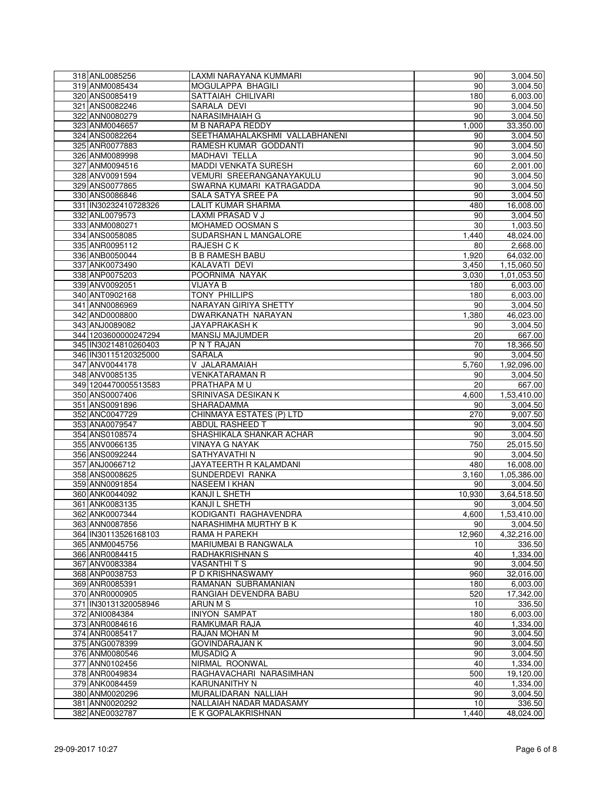| 318 ANL0085256                         | LAXMI NARAYANA KUMMARI                  | 90                 | 3,004.50              |
|----------------------------------------|-----------------------------------------|--------------------|-----------------------|
| 319 ANM0085434                         | MOGULAPPA BHAGILI                       | 90                 | 3,004.50              |
| 320 ANS0085419                         | SATTAIAH CHILIVARI                      | 180                | 6,003.00              |
| 321 ANS0082246                         | SARALA DEVI                             | 90                 | 3,004.50              |
| 322 ANN0080279                         | NARASIMHAIAH G                          | 90                 | 3,004.50              |
| 323 ANM0046657                         | <b>M B NARAPA REDDY</b>                 | 1,000              | 33,350.00             |
| 324 ANS0082264                         | SEETHAMAHALAKSHMI VALLABHANENI          | 90                 | 3,004.50              |
| 325 ANR0077883                         | RAMESH KUMAR GODDANTI                   | 90                 | 3,004.50              |
| 326 ANM0089998                         | MADHAVI TELLA                           | 90                 | 3,004.50              |
| 327 ANM0094516                         | <b>MADDI VENKATA SURESH</b>             | 60                 | 2,001.00              |
| 328 ANV0091594                         | <b>VEMURI SREERANGANAYAKULU</b>         | 90                 | 3,004.50              |
| 329 ANS0077865                         | SWARNA KUMARI KATRAGADDA                | 90                 | 3,004.50              |
| 330 ANS0086846                         | SALA SATYA SREE PA                      | 90                 | 3,004.50              |
|                                        | LALIT KUMAR SHARMA                      | 480                |                       |
| 331 IN30232410728326<br>332 ANL0079573 |                                         |                    | 16,008.00             |
|                                        | LAXMI PRASAD V J                        | 90                 | 3,004.50              |
| 333 ANM0080271                         | MOHAMED OOSMAN S                        | 30                 | 1,003.50              |
| 334 ANS0058085                         | SUDARSHAN L MANGALORE                   | 1,440              | 48,024.00             |
| 335 ANR0095112                         | RAJESH C K                              | 80                 | 2,668.00              |
| 336 ANB0050044                         | <b>B B RAMESH BABU</b>                  | 1,920              | 64,032.00             |
| 337 ANK0073490                         | KALAVATI DEVI                           | 3,450              | 1,15,060.50           |
| 338 ANP0075203                         | POORNIMA NAYAK                          | 3,030              | 1,01,053.50           |
| 339 ANV0092051                         | <b>VIJAYA B</b>                         | 180                | 6,003.00              |
| 340 ANT0902168                         | <b>TONY PHILLIPS</b>                    | 180                | 6,003.00              |
| 341 ANN0086969                         | <b>NARAYAN GIRIYA SHETTY</b>            | 90                 | 3,004.50              |
| 342 AND0008800                         | DWARKANATH NARAYAN                      | 1,380              | 46,023.00             |
| 343 ANJ0089082                         | <b>JAYAPRAKASH K</b>                    | 90                 | 3,004.50              |
| 344 1203600000247294                   | MANSIJ MAJUMDER                         | 20                 | 667.00                |
| 345 IN30214810260403                   | <b>PNTRAJAN</b>                         | 70                 | 18,366.50             |
| 346 IN30115120325000                   | SARALA                                  | 90                 | 3,004.50              |
| 347 ANV0044178                         | V JALARAMAIAH                           | $\overline{5,760}$ | 1,92,096.00           |
| 348 ANV0085135                         | <b>VENKATARAMAN R</b>                   | 90                 | 3,004.50              |
| 349 1204470005513583                   | PRATHAPA MU                             | 20                 | 667.00                |
| 350 ANS0007406                         | SRINIVASA DESIKAN K                     | 4,600              | 1,53,410.00           |
| 351 ANS0091896                         | SHARADAMMA                              | 90                 | 3,004.50              |
| 352 ANC0047729                         | <b>CHINMAYA ESTATES (P) LTD</b>         | 270                | 9,007.50              |
| 353 ANA0079547                         | ABDUL RASHEED T                         | 90                 | 3,004.50              |
| 354 ANS0108574                         | SHASHIKALA SHANKAR ACHAR                | 90                 | 3,004.50              |
| 355 ANV0066135                         | <b>VINAYA G NAYAK</b>                   | 750                | 25,015.50             |
| 356 ANS0092244                         | SATHYAVATHI N                           | 90                 | 3,004.50              |
| 357 ANJ0066712                         | <b>JAYATEERTH R KALAMDANI</b>           | 480                | 16,008.00             |
| 358 ANS0008625                         | SUNDERDEVI RANKA                        | 3,160              | 1,05,386.00           |
| 359 ANN0091854                         | NASEEM I KHAN                           | 90                 | 3,004.50              |
| 360 ANK0044092                         | KANJI L SHETH                           | 10,930             | 3,64,518.50           |
| 361 ANK0083135                         | KANJI L SHETH                           | 90                 | 3,004.50              |
| 362 ANK0007344                         | KODIGANTI RAGHAVENDRA                   | 4,600              | 1,53,410.00           |
| 363 ANN0087856                         | NARASHIMHA MURTHY B K                   | 90                 | 3,004.50              |
| 364 IN30113526168103                   | RAMA H PAREKH                           | 12,960             | 4,32,216.00           |
| 365 ANM0045756                         | MARIUMBAI B RANGWALA                    | 10                 | 336.50                |
| 366 ANR0084415                         | RADHAKRISHNAN S                         | 40                 | 1,334.00              |
| 367 ANV0083384                         | <b>VASANTHITS</b>                       | 90                 | 3,004.50              |
|                                        |                                         | 960                |                       |
| 368 ANP0038753<br>369 ANR0085391       | P D KRISHNASWAMY<br>RAMANAN SUBRAMANIAN |                    | 32,016.00<br>6,003.00 |
|                                        |                                         | 180                | 17,342.00             |
| 370 ANR0000905                         | RANGIAH DEVENDRA BABU                   | 520                |                       |
| 371 IN30131320058946                   | ARUN M S                                | 10                 | 336.50                |
| 372 ANI0084384                         | <b>INIYON SAMPAT</b>                    | 180                | 6,003.00              |
| 373 ANR0084616                         | RAMKUMAR RAJA                           | 40                 | 1,334.00              |
| 374 ANR0085417                         | RAJAN MOHAN M                           | 90                 | 3,004.50              |
| 375 ANG0078399                         | <b>GOVINDARAJAN K</b>                   | 90                 | 3,004.50              |
| 376 ANM0080546                         | MUSADIQ A                               | 90                 | 3,004.50              |
| 377 ANN0102456                         | NIRMAL ROONWAL                          | 40                 | 1,334.00              |
| 378 ANR0049834                         | RAGHAVACHARI NARASIMHAN                 | 500                | 19,120.00             |
| 379 ANK0084459                         | <b>KARUNANITHY N</b>                    | 40                 | 1,334.00              |
| 380 ANM0020296                         | MURALIDARAN NALLIAH                     | 90                 | 3,004.50              |
| 381 ANN0020292                         | NALLAIAH NADAR MADASAMY                 | 10                 | 336.50                |
| 382 ANE0032787                         | E K GOPALAKRISHNAN                      | 1,440              | 48,024.00             |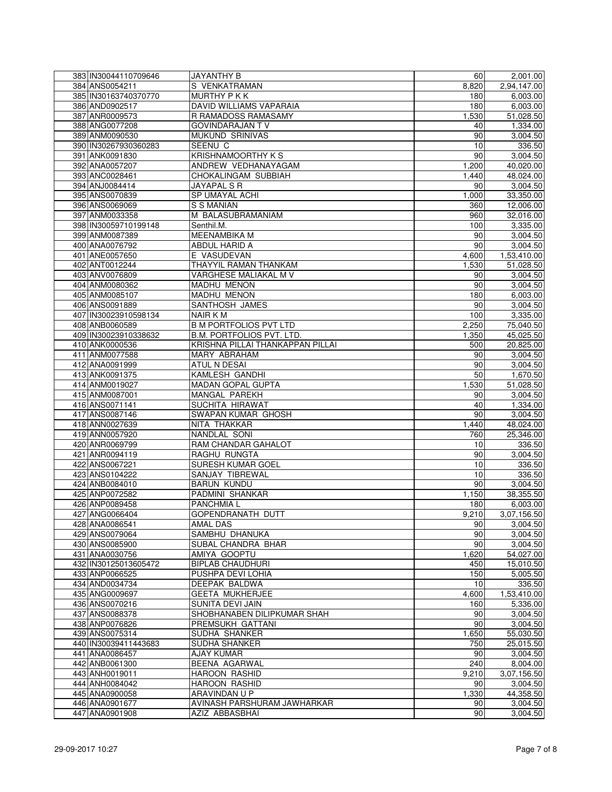| 383 IN30044110709646 | <b>JAYANTHY B</b>                | 60    | 2,001.00           |
|----------------------|----------------------------------|-------|--------------------|
| 384 ANS0054211       | S VENKATRAMAN                    | 8,820 | 2,94,147.00        |
| 385 IN30163740370770 | MURTHY P K K                     | 180   | 6,003.00           |
| 386 AND0902517       | DAVID WILLIAMS VAPARAIA          | 180   | 6,003.00           |
| 387 ANR0009573       | R RAMADOSS RAMASAMY              | 1,530 | 51,028.50          |
| 388 ANG0077208       | <b>GOVINDARAJAN TV</b>           | 40    | 1,334.00           |
| 389 ANM0090530       | <b>MUKUND SRINIVAS</b>           | 90    | 3,004.50           |
| 390 IN30267930360283 | SEENU C                          | 10    | 336.50             |
| 391 ANK0091830       | <b>KRISHNAMOORTHY K S</b>        | 90    | 3,004.50           |
| 392 ANA0057207       | ANDREW VEDHANAYAGAM              | 1,200 | 40,020.00          |
| 393 ANC0028461       | CHOKALINGAM SUBBIAH              | 1,440 | 48,024.00          |
| 394 ANJ0084414       | JAYAPAL S R                      | 90    | 3,004.50           |
| 395 ANS0070839       | SP UMAYAL ACHI                   | 1,000 | 33,350.00          |
| 396 ANS0069069       | <b>S S MANIAN</b>                | 360   | 12,006.00          |
|                      | M BALASUBRAMANIAM                |       |                    |
| 397 ANM0033358       |                                  | 960   | 32,016.00          |
| 398 IN30059710199148 | Senthil.M.                       | 100   | 3,335.00           |
| 399 ANM0087389       | <b>MEENAMBIKA M</b>              | 90    | 3,004.50           |
| 400 ANA0076792       | ABDUL HARID A                    | 90    | 3,004.50           |
| 401 ANE0057650       | E VASUDEVAN                      | 4,600 | 1,53,410.00        |
| 402 ANT0012244       | THAYYIL RAMAN THANKAM            | 1,530 | 51,028.50          |
| 403 ANV0076809       | VARGHESE MALIAKAL M V            | 90    | 3,004.50           |
| 404 ANM0080362       | MADHU MENON                      | 90    | 3,004.50           |
| 405 ANM0085107       | MADHU MENON                      | 180   | 6,003.00           |
| 406 ANS0091889       | SANTHOSH JAMES                   | 90    | 3,004.50           |
| 407 IN30023910598134 | <b>NAIR KM</b>                   | 100   | 3,335.00           |
| 408 ANB0060589       | <b>B M PORTFOLIOS PVT LTD</b>    | 2,250 | 75,040.50          |
| 409 IN30023910338632 | B.M. PORTFOLIOS PVT. LTD.        | 1,350 | 45,025.50          |
| 410 ANK0000536       | KRISHNA PILLAI THANKAPPAN PILLAI | 500   | 20,825.00          |
| 411 ANM0077588       | MARY ABRAHAM                     | 90    | 3,004.50           |
| 412 ANA0091999       | ATUL N DESAI                     | 90    | 3,004.50           |
| 413 ANK0091375       | <b>KAMLESH GANDHI</b>            | 50    | 1,670.50           |
| 414 ANM0019027       | <b>MADAN GOPAL GUPTA</b>         | 1,530 | 51,028.50          |
| 415 ANM0087001       | <b>MANGAL PAREKH</b>             | 90    | 3,004.50           |
| 416 ANS0071141       | SUCHITA HIRAWAT                  | 40    | 1,334.00           |
| 417 ANS0087146       | SWAPAN KUMAR GHOSH               | 90    | 3,004.50           |
| 418 ANN0027639       | NITA THAKKAR                     | 1,440 | 48,024.00          |
| 419 ANN0057920       | NANDLAL SONI                     | 760   | 25,346.00          |
| 420 ANR0069799       | RAM CHANDAR GAHALOT              |       | 336.50             |
| 421 ANR0094119       | RAGHU RUNGTA                     | 10    |                    |
| 422 ANS0067221       | <b>SURESH KUMAR GOEL</b>         | 90    | 3,004.50<br>336.50 |
|                      |                                  | 10    |                    |
| 423 ANS0104222       | SANJAY TIBREWAL                  | 10    | 336.50             |
| 424 ANB0084010       | <b>BARUN KUNDU</b>               | 90    | 3,004.50           |
| 425 ANP0072582       | PADMINI SHANKAR                  | 1,150 | 38,355.50          |
| 426 ANP0089458       | PANCHMIA L                       | 180   | 6,003.00           |
| 427 ANG0066404       | GOPENDRANATH DUTT                | 9,210 | 3,07,156.50        |
| 428 ANA0086541       | AMAL DAS                         | 90    | 3,004.50           |
| 429 ANS0079064       | SAMBHU DHANUKA                   | 90    | 3,004.50           |
| 430 ANS0085900       | SUBAL CHANDRA BHAR               | 90    | 3,004.50           |
| 431 ANA0030756       | AMIYA GOOPTU                     | 1,620 | 54,027.00          |
| 432 IN30125013605472 | <b>BIPLAB CHAUDHURI</b>          | 450   | 15,010.50          |
| 433 ANP0066525       | PUSHPA DEVI LOHIA                | 150   | 5,005.50           |
| 434 AND0034734       | DEEPAK BALDWA                    | 10    | 336.50             |
| 435 ANG0009697       | <b>GEETA MUKHERJEE</b>           | 4,600 | 1,53,410.00        |
| 436 ANS0070216       | SUNITA DEVI JAIN                 | 160   | 5,336.00           |
| 437 ANS0088378       | SHOBHANABEN DILIPKUMAR SHAH      | 90    | 3,004.50           |
| 438 ANP0076826       | PREMSUKH GATTANI                 | 90    | 3,004.50           |
| 439 ANS0075314       | SUDHA SHANKER                    | 1,650 | 55,030.50          |
| 440 IN30039411443683 | <b>SUDHA SHANKER</b>             | 750   | 25,015.50          |
| 441 ANA0086457       | <b>AJAY KUMAR</b>                | 90    | 3,004.50           |
| 442 ANB0061300       | BEENA AGARWAL                    | 240   | 8,004.00           |
| 443 ANH0019011       | <b>HAROON RASHID</b>             | 9,210 | 3,07,156.50        |
|                      |                                  |       |                    |
| 444 ANH0084042       | <b>HAROON RASHID</b>             | 90    | 3,004.50           |
| 445 ANA0900058       | ARAVINDAN U P                    | 1,330 | 44,358.50          |
| 446 ANA0901677       | AVINASH PARSHURAM JAWHARKAR      | 90    | 3,004.50           |
| 447 ANA0901908       | AZIZ ABBASBHAI                   | 90    | 3,004.50           |